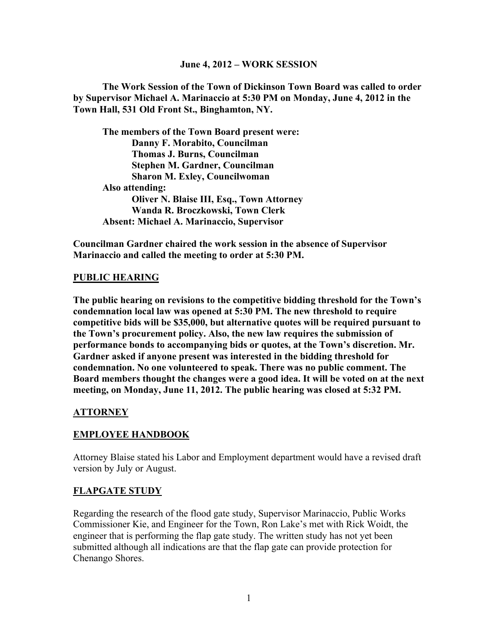#### **June 4, 2012 – WORK SESSION**

**The Work Session of the Town of Dickinson Town Board was called to order by Supervisor Michael A. Marinaccio at 5:30 PM on Monday, June 4, 2012 in the Town Hall, 531 Old Front St., Binghamton, NY.**

**The members of the Town Board present were: Danny F. Morabito, Councilman Thomas J. Burns, Councilman Stephen M. Gardner, Councilman Sharon M. Exley, Councilwoman Also attending: Oliver N. Blaise III, Esq., Town Attorney Wanda R. Broczkowski, Town Clerk Absent: Michael A. Marinaccio, Supervisor**

**Councilman Gardner chaired the work session in the absence of Supervisor Marinaccio and called the meeting to order at 5:30 PM.**

#### **PUBLIC HEARING**

**The public hearing on revisions to the competitive bidding threshold for the Town's condemnation local law was opened at 5:30 PM. The new threshold to require competitive bids will be \$35,000, but alternative quotes will be required pursuant to the Town's procurement policy. Also, the new law requires the submission of performance bonds to accompanying bids or quotes, at the Town's discretion. Mr. Gardner asked if anyone present was interested in the bidding threshold for condemnation. No one volunteered to speak. There was no public comment. The Board members thought the changes were a good idea. It will be voted on at the next meeting, on Monday, June 11, 2012. The public hearing was closed at 5:32 PM.**

#### **ATTORNEY**

#### **EMPLOYEE HANDBOOK**

Attorney Blaise stated his Labor and Employment department would have a revised draft version by July or August.

#### **FLAPGATE STUDY**

Regarding the research of the flood gate study, Supervisor Marinaccio, Public Works Commissioner Kie, and Engineer for the Town, Ron Lake's met with Rick Woidt, the engineer that is performing the flap gate study. The written study has not yet been submitted although all indications are that the flap gate can provide protection for Chenango Shores.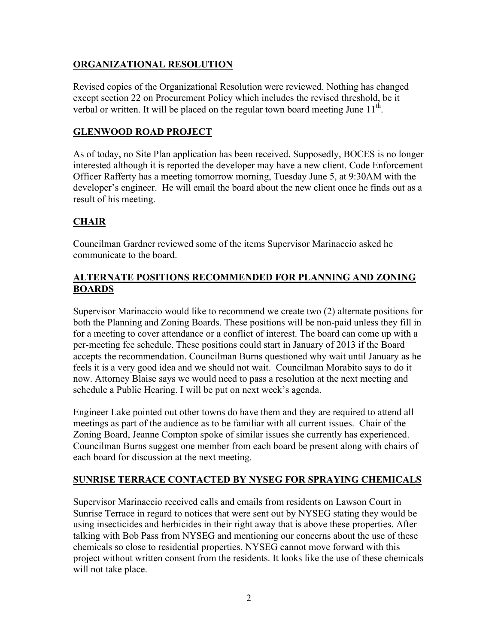## **ORGANIZATIONAL RESOLUTION**

Revised copies of the Organizational Resolution were reviewed. Nothing has changed except section 22 on Procurement Policy which includes the revised threshold, be it verbal or written. It will be placed on the regular town board meeting June  $11<sup>th</sup>$ .

## **GLENWOOD ROAD PROJECT**

As of today, no Site Plan application has been received. Supposedly, BOCES is no longer interested although it is reported the developer may have a new client. Code Enforcement Officer Rafferty has a meeting tomorrow morning, Tuesday June 5, at 9:30AM with the developer's engineer. He will email the board about the new client once he finds out as a result of his meeting.

# **CHAIR**

Councilman Gardner reviewed some of the items Supervisor Marinaccio asked he communicate to the board.

### **ALTERNATE POSITIONS RECOMMENDED FOR PLANNING AND ZONING BOARDS**

Supervisor Marinaccio would like to recommend we create two (2) alternate positions for both the Planning and Zoning Boards. These positions will be non-paid unless they fill in for a meeting to cover attendance or a conflict of interest. The board can come up with a per-meeting fee schedule. These positions could start in January of 2013 if the Board accepts the recommendation. Councilman Burns questioned why wait until January as he feels it is a very good idea and we should not wait. Councilman Morabito says to do it now. Attorney Blaise says we would need to pass a resolution at the next meeting and schedule a Public Hearing. I will be put on next week's agenda.

Engineer Lake pointed out other towns do have them and they are required to attend all meetings as part of the audience as to be familiar with all current issues. Chair of the Zoning Board, Jeanne Compton spoke of similar issues she currently has experienced. Councilman Burns suggest one member from each board be present along with chairs of each board for discussion at the next meeting.

# **SUNRISE TERRACE CONTACTED BY NYSEG FOR SPRAYING CHEMICALS**

Supervisor Marinaccio received calls and emails from residents on Lawson Court in Sunrise Terrace in regard to notices that were sent out by NYSEG stating they would be using insecticides and herbicides in their right away that is above these properties. After talking with Bob Pass from NYSEG and mentioning our concerns about the use of these chemicals so close to residential properties, NYSEG cannot move forward with this project without written consent from the residents. It looks like the use of these chemicals will not take place.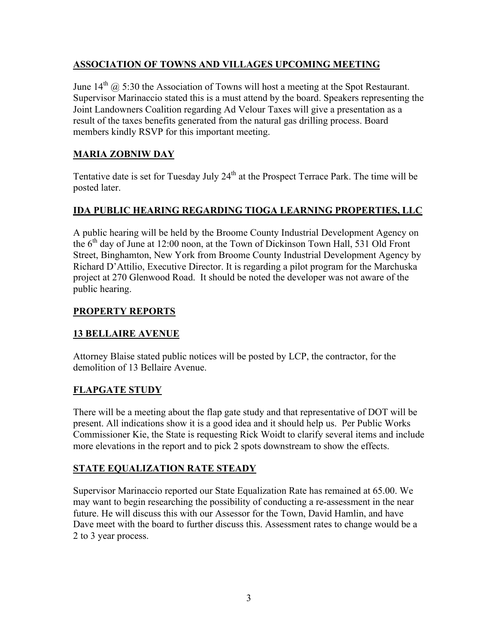## **ASSOCIATION OF TOWNS AND VILLAGES UPCOMING MEETING**

June  $14^{th}$   $\omega$  5:30 the Association of Towns will host a meeting at the Spot Restaurant. Supervisor Marinaccio stated this is a must attend by the board. Speakers representing the Joint Landowners Coalition regarding Ad Velour Taxes will give a presentation as a result of the taxes benefits generated from the natural gas drilling process. Board members kindly RSVP for this important meeting.

# **MARIA ZOBNIW DAY**

Tentative date is set for Tuesday July 24<sup>th</sup> at the Prospect Terrace Park. The time will be posted later.

# **IDA PUBLIC HEARING REGARDING TIOGA LEARNING PROPERTIES, LLC**

A public hearing will be held by the Broome County Industrial Development Agency on the  $6<sup>th</sup>$  day of June at 12:00 noon, at the Town of Dickinson Town Hall, 531 Old Front Street, Binghamton, New York from Broome County Industrial Development Agency by Richard D'Attilio, Executive Director. It is regarding a pilot program for the Marchuska project at 270 Glenwood Road. It should be noted the developer was not aware of the public hearing.

## **PROPERTY REPORTS**

# **13 BELLAIRE AVENUE**

Attorney Blaise stated public notices will be posted by LCP, the contractor, for the demolition of 13 Bellaire Avenue.

# **FLAPGATE STUDY**

There will be a meeting about the flap gate study and that representative of DOT will be present. All indications show it is a good idea and it should help us. Per Public Works Commissioner Kie, the State is requesting Rick Woidt to clarify several items and include more elevations in the report and to pick 2 spots downstream to show the effects.

# **STATE EQUALIZATION RATE STEADY**

Supervisor Marinaccio reported our State Equalization Rate has remained at 65.00. We may want to begin researching the possibility of conducting a re-assessment in the near future. He will discuss this with our Assessor for the Town, David Hamlin, and have Dave meet with the board to further discuss this. Assessment rates to change would be a 2 to 3 year process.